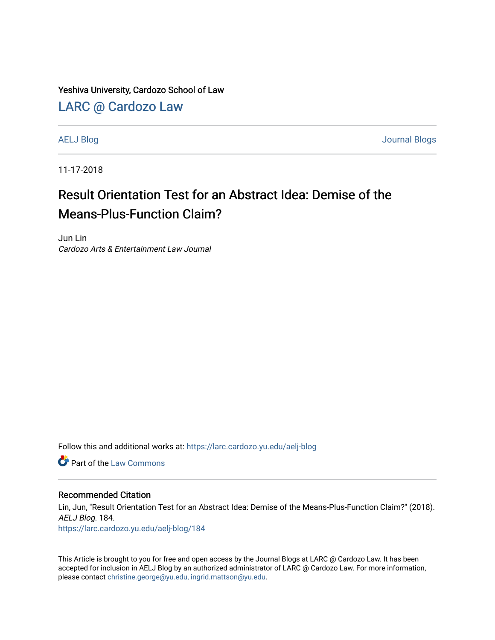Yeshiva University, Cardozo School of Law

[LARC @ Cardozo Law](https://larc.cardozo.yu.edu/)

[AELJ Blog](https://larc.cardozo.yu.edu/aelj-blog) [Journal Blogs](https://larc.cardozo.yu.edu/journal-blogs) 

11-17-2018

## Result Orientation Test for an Abstract Idea: Demise of the Means-Plus-Function Claim?

Jun Lin Cardozo Arts & Entertainment Law Journal

Follow this and additional works at: [https://larc.cardozo.yu.edu/aelj-blog](https://larc.cardozo.yu.edu/aelj-blog?utm_source=larc.cardozo.yu.edu%2Faelj-blog%2F184&utm_medium=PDF&utm_campaign=PDFCoverPages) 

**C** Part of the [Law Commons](http://network.bepress.com/hgg/discipline/578?utm_source=larc.cardozo.yu.edu%2Faelj-blog%2F184&utm_medium=PDF&utm_campaign=PDFCoverPages)

## Recommended Citation

Lin, Jun, "Result Orientation Test for an Abstract Idea: Demise of the Means-Plus-Function Claim?" (2018). AELJ Blog. 184.

[https://larc.cardozo.yu.edu/aelj-blog/184](https://larc.cardozo.yu.edu/aelj-blog/184?utm_source=larc.cardozo.yu.edu%2Faelj-blog%2F184&utm_medium=PDF&utm_campaign=PDFCoverPages) 

This Article is brought to you for free and open access by the Journal Blogs at LARC @ Cardozo Law. It has been accepted for inclusion in AELJ Blog by an authorized administrator of LARC @ Cardozo Law. For more information, please contact [christine.george@yu.edu, ingrid.mattson@yu.edu.](mailto:christine.george@yu.edu,%20ingrid.mattson@yu.edu)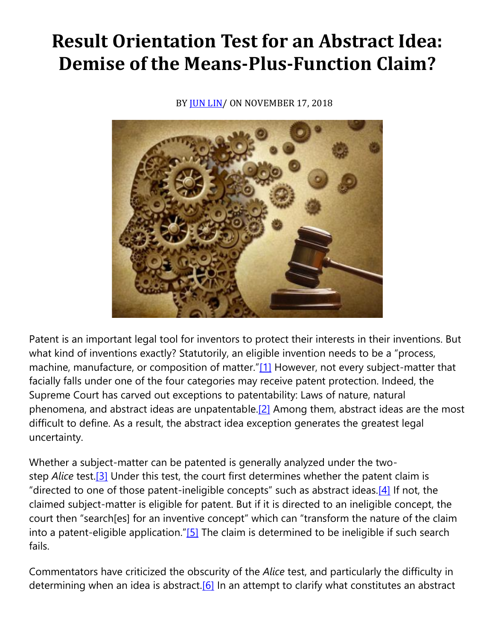## **Result Orientation Test for an Abstract Idea: Demise of the Means-Plus-Function Claim?**

BY [JUN LIN/](https://cardozoaelj.com/author/jun-lin/)ON NOVEMBER 17, 2018



Patent is an important legal tool for inventors to protect their interests in their inventions. But what kind of inventions exactly? Statutorily, an eligible invention needs to be a "process, machine, manufacture, or composition of matter."[\[1\]](https://cardozoaelj.com/2018/11/17/result-orientation-test-abstract-idea-demise-means-plus-function-claim/#_ftn1) However, not every subject-matter that facially falls under one of the four categories may receive patent protection. Indeed, the Supreme Court has carved out exceptions to patentability: Laws of nature, natural phenomena, and abstract ideas are unpatentable[.\[2\]](https://cardozoaelj.com/2018/11/17/result-orientation-test-abstract-idea-demise-means-plus-function-claim/#_ftn2) Among them, abstract ideas are the most difficult to define. As a result, the abstract idea exception generates the greatest legal uncertainty.

Whether a subject-matter can be patented is generally analyzed under the twostep *Alice* test[.\[3\]](https://cardozoaelj.com/2018/11/17/result-orientation-test-abstract-idea-demise-means-plus-function-claim/#_ftn3) Under this test, the court first determines whether the patent claim is "directed to one of those patent-ineligible concepts" such as abstract ideas.<sup>[\[4\]](https://cardozoaelj.com/2018/11/17/result-orientation-test-abstract-idea-demise-means-plus-function-claim/#_ftn4)</sup> If not, the claimed subject-matter is eligible for patent. But if it is directed to an ineligible concept, the court then "search[es] for an inventive concept" which can "transform the nature of the claim into a patent-eligible application." $[5]$  The claim is determined to be ineligible if such search fails.

Commentators have criticized the obscurity of the *Alice* test, and particularly the difficulty in determining when an idea is abstract.<sup>[6]</sup> In an attempt to clarify what constitutes an abstract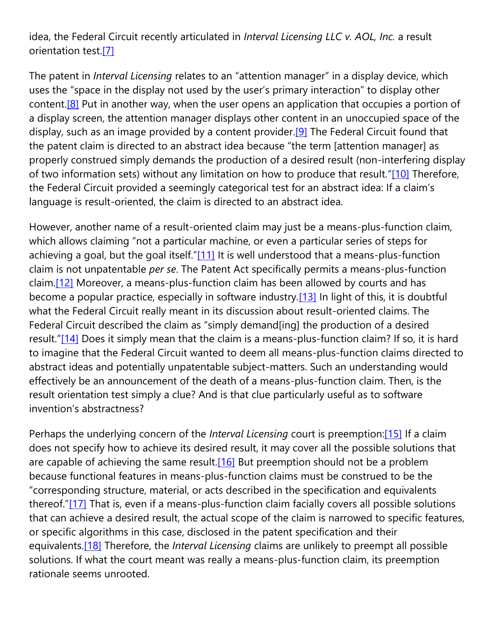idea, the Federal Circuit recently articulated in *Interval Licensing LLC v. AOL, Inc.* a result orientation test[.\[7\]](https://cardozoaelj.com/2018/11/17/result-orientation-test-abstract-idea-demise-means-plus-function-claim/#_ftn7)

The patent in *Interval Licensing* relates to an "attention manager" in a display device, which uses the "space in the display not used by the user's primary interaction" to display other content.<sup>[8]</sup> Put in another way, when the user opens an application that occupies a portion of a display screen, the attention manager displays other content in an unoccupied space of the display, such as an image provided by a content provider.<sup>[9]</sup> The Federal Circuit found that the patent claim is directed to an abstract idea because "the term [attention manager] as properly construed simply demands the production of a desired result (non-interfering display of two information sets) without any limitation on how to produce that result."[\[10\]](https://cardozoaelj.com/2018/11/17/result-orientation-test-abstract-idea-demise-means-plus-function-claim/#_ftn10) Therefore, the Federal Circuit provided a seemingly categorical test for an abstract idea: If a claim's language is result-oriented, the claim is directed to an abstract idea.

However, another name of a result-oriented claim may just be a means-plus-function claim, which allows claiming "not a particular machine, or even a particular series of steps for achieving a goal, but the goal itself." $[11]$  It is well understood that a means-plus-function claim is not unpatentable *per se*. The Patent Act specifically permits a means-plus-function claim[.\[12\]](https://cardozoaelj.com/2018/11/17/result-orientation-test-abstract-idea-demise-means-plus-function-claim/#_ftn12) Moreover, a means-plus-function claim has been allowed by courts and has become a popular practice, especially in software industry[.\[13\]](https://cardozoaelj.com/2018/11/17/result-orientation-test-abstract-idea-demise-means-plus-function-claim/#_ftn13) In light of this, it is doubtful what the Federal Circuit really meant in its discussion about result-oriented claims. The Federal Circuit described the claim as "simply demand[ing] the production of a desired result."[\[14\]](https://cardozoaelj.com/2018/11/17/result-orientation-test-abstract-idea-demise-means-plus-function-claim/#_ftn14) Does it simply mean that the claim is a means-plus-function claim? If so, it is hard to imagine that the Federal Circuit wanted to deem all means-plus-function claims directed to abstract ideas and potentially unpatentable subject-matters. Such an understanding would effectively be an announcement of the death of a means-plus-function claim. Then, is the result orientation test simply a clue? And is that clue particularly useful as to software invention's abstractness?

Perhaps the underlying concern of the *Interval Licensing* court is preemption[:\[15\]](https://cardozoaelj.com/2018/11/17/result-orientation-test-abstract-idea-demise-means-plus-function-claim/#_ftn15) If a claim does not specify how to achieve its desired result, it may cover all the possible solutions that are capable of achieving the same result.<sup>[16]</sup> But preemption should not be a problem because functional features in means-plus-function claims must be construed to be the "corresponding structure, material, or acts described in the specification and equivalents thereof."[\[17\]](https://cardozoaelj.com/2018/11/17/result-orientation-test-abstract-idea-demise-means-plus-function-claim/#_ftn17) That is, even if a means-plus-function claim facially covers all possible solutions that can achieve a desired result, the actual scope of the claim is narrowed to specific features, or specific algorithms in this case, disclosed in the patent specification and their equivalents[.\[18\]](https://cardozoaelj.com/2018/11/17/result-orientation-test-abstract-idea-demise-means-plus-function-claim/#_ftn18) Therefore, the *Interval Licensing* claims are unlikely to preempt all possible solutions. If what the court meant was really a means-plus-function claim, its preemption rationale seems unrooted.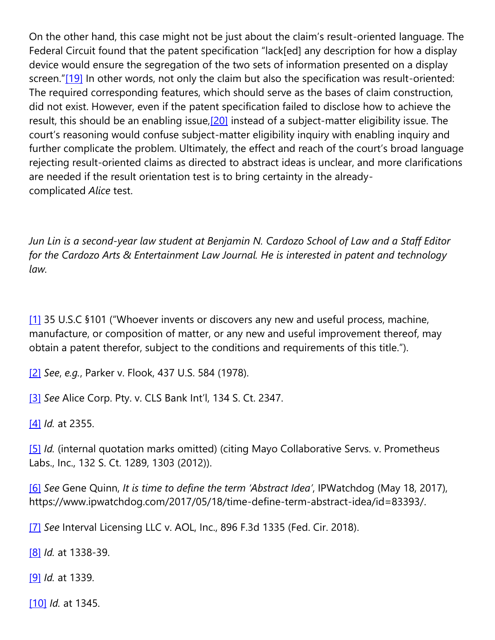On the other hand, this case might not be just about the claim's result-oriented language. The Federal Circuit found that the patent specification "lack[ed] any description for how a display device would ensure the segregation of the two sets of information presented on a display screen."[\[19\]](https://cardozoaelj.com/2018/11/17/result-orientation-test-abstract-idea-demise-means-plus-function-claim/#_ftn19) In other words, not only the claim but also the specification was result-oriented: The required corresponding features, which should serve as the bases of claim construction, did not exist. However, even if the patent specification failed to disclose how to achieve the result, this should be an enabling issue[,\[20\]](https://cardozoaelj.com/2018/11/17/result-orientation-test-abstract-idea-demise-means-plus-function-claim/#_ftn20) instead of a subject-matter eligibility issue. The court's reasoning would confuse subject-matter eligibility inquiry with enabling inquiry and further complicate the problem. Ultimately, the effect and reach of the court's broad language rejecting result-oriented claims as directed to abstract ideas is unclear, and more clarifications are needed if the result orientation test is to bring certainty in the alreadycomplicated *Alice* test.

*Jun Lin is a second-year law student at Benjamin N. Cardozo School of Law and a Staff Editor for the Cardozo Arts & Entertainment Law Journal. He is interested in patent and technology law.*

[\[1\]](https://cardozoaelj.com/2018/11/17/result-orientation-test-abstract-idea-demise-means-plus-function-claim/#_ftnref1) 35 U.S.C §101 ("Whoever invents or discovers any new and useful process, machine, manufacture, or composition of matter, or any new and useful improvement thereof, may obtain a patent therefor, subject to the conditions and requirements of this title.").

[\[2\]](https://cardozoaelj.com/2018/11/17/result-orientation-test-abstract-idea-demise-means-plus-function-claim/#_ftnref2) *See*, *e.g.*, Parker v. Flook, 437 U.S. 584 (1978).

[\[3\]](https://cardozoaelj.com/2018/11/17/result-orientation-test-abstract-idea-demise-means-plus-function-claim/#_ftnref3) *See* Alice Corp. Pty. v. CLS Bank Int'l, 134 S. Ct. 2347.

[\[4\]](https://cardozoaelj.com/2018/11/17/result-orientation-test-abstract-idea-demise-means-plus-function-claim/#_ftnref4) *Id.* at 2355.

[\[5\]](https://cardozoaelj.com/2018/11/17/result-orientation-test-abstract-idea-demise-means-plus-function-claim/#_ftnref5) *Id.* (internal quotation marks omitted) (citing Mayo Collaborative Servs. v. Prometheus Labs., Inc., 132 S. Ct. 1289, 1303 (2012)).

[\[6\]](https://cardozoaelj.com/2018/11/17/result-orientation-test-abstract-idea-demise-means-plus-function-claim/#_ftnref6) *See* Gene Quinn, *It is time to define the term 'Abstract Idea'*, IPWatchdog (May 18, 2017), https://www.ipwatchdog.com/2017/05/18/time-define-term-abstract-idea/id=83393/.

[\[7\]](https://cardozoaelj.com/2018/11/17/result-orientation-test-abstract-idea-demise-means-plus-function-claim/#_ftnref7) *See* Interval Licensing LLC v. AOL, Inc., 896 F.3d 1335 (Fed. Cir. 2018).

[\[8\]](https://cardozoaelj.com/2018/11/17/result-orientation-test-abstract-idea-demise-means-plus-function-claim/#_ftnref8) *Id.* at 1338-39.

[\[9\]](https://cardozoaelj.com/2018/11/17/result-orientation-test-abstract-idea-demise-means-plus-function-claim/#_ftnref9) *Id.* at 1339.

[\[10\]](https://cardozoaelj.com/2018/11/17/result-orientation-test-abstract-idea-demise-means-plus-function-claim/#_ftnref10) *Id.* at 1345.